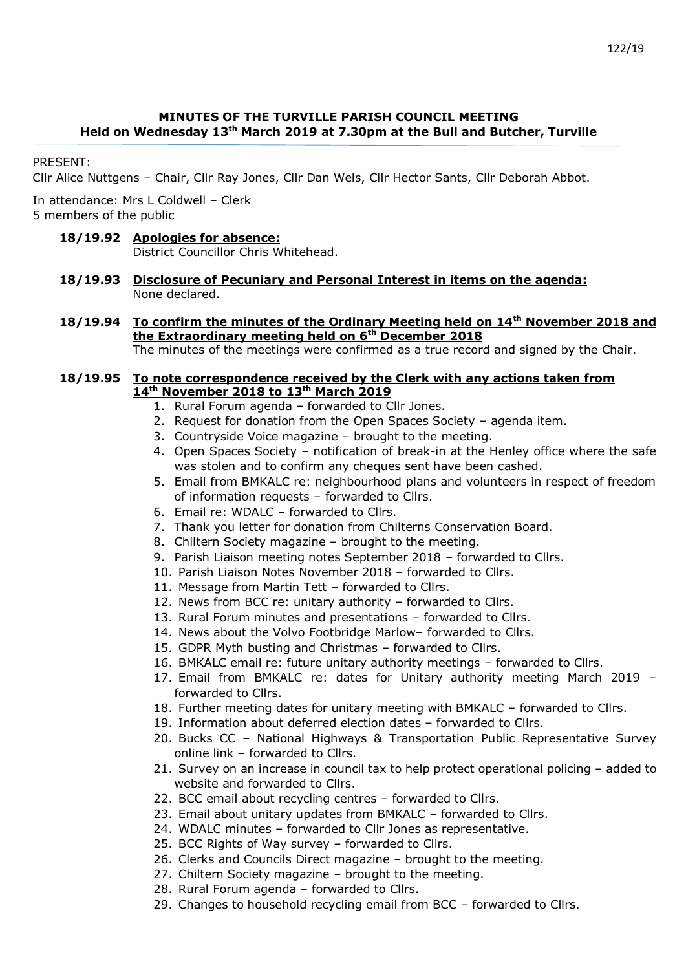## **MINUTES OF THE TURVILLE PARISH COUNCIL MEETING Held on Wednesday 13 th March 2019 at 7.30pm at the Bull and Butcher, Turville**

PRESENT:

Cllr Alice Nuttgens – Chair, Cllr Ray Jones, Cllr Dan Wels, Cllr Hector Sants, Cllr Deborah Abbot.

In attendance: Mrs L Coldwell – Clerk 5 members of the public

## **18/19.92 Apologies for absence:**

District Councillor Chris Whitehead.

- **18/19.93 Disclosure of Pecuniary and Personal Interest in items on the agenda:** None declared.
- **18/19.94 To confirm the minutes of the Ordinary Meeting held on 14th November 2018 and the Extraordinary meeting held on 6th December 2018** The minutes of the meetings were confirmed as a true record and signed by the Chair.

#### **18/19.95 To note correspondence received by the Clerk with any actions taken from 14th November 2018 to 13th March 2019**

- 1. Rural Forum agenda forwarded to Cllr Jones.
- 2. Request for donation from the Open Spaces Society agenda item.
- 3. Countryside Voice magazine brought to the meeting.
- 4. Open Spaces Society notification of break-in at the Henley office where the safe was stolen and to confirm any cheques sent have been cashed.
- 5. Email from BMKALC re: neighbourhood plans and volunteers in respect of freedom of information requests – forwarded to Cllrs.
- 6. Email re: WDALC forwarded to Cllrs.
- 7. Thank you letter for donation from Chilterns Conservation Board.
- 8. Chiltern Society magazine brought to the meeting.
- 9. Parish Liaison meeting notes September 2018 forwarded to Cllrs.
- 10. Parish Liaison Notes November 2018 forwarded to Cllrs.
- 11. Message from Martin Tett forwarded to Cllrs.
- 12. News from BCC re: unitary authority forwarded to Cllrs.
- 13. Rural Forum minutes and presentations forwarded to Cllrs.
- 14. News about the Volvo Footbridge Marlow– forwarded to Cllrs.
- 15. GDPR Myth busting and Christmas forwarded to Cllrs.
- 16. BMKALC email re: future unitary authority meetings forwarded to Cllrs.
- 17. Email from BMKALC re: dates for Unitary authority meeting March 2019 forwarded to Cllrs.
- 18. Further meeting dates for unitary meeting with BMKALC forwarded to Cllrs.
- 19. Information about deferred election dates forwarded to Cllrs.
- 20. Bucks CC National Highways & Transportation Public Representative Survey online link – forwarded to Cllrs.
- 21. Survey on an increase in council tax to help protect operational policing added to website and forwarded to Cllrs.
- 22. BCC email about recycling centres forwarded to Cllrs.
- 23. Email about unitary updates from BMKALC forwarded to Cllrs.
- 24. WDALC minutes forwarded to Cllr Jones as representative.
- 25. BCC Rights of Way survey forwarded to Cllrs.
- 26. Clerks and Councils Direct magazine brought to the meeting.
- 27. Chiltern Society magazine brought to the meeting.
- 28. Rural Forum agenda forwarded to Cllrs.
- 29. Changes to household recycling email from BCC forwarded to Cllrs.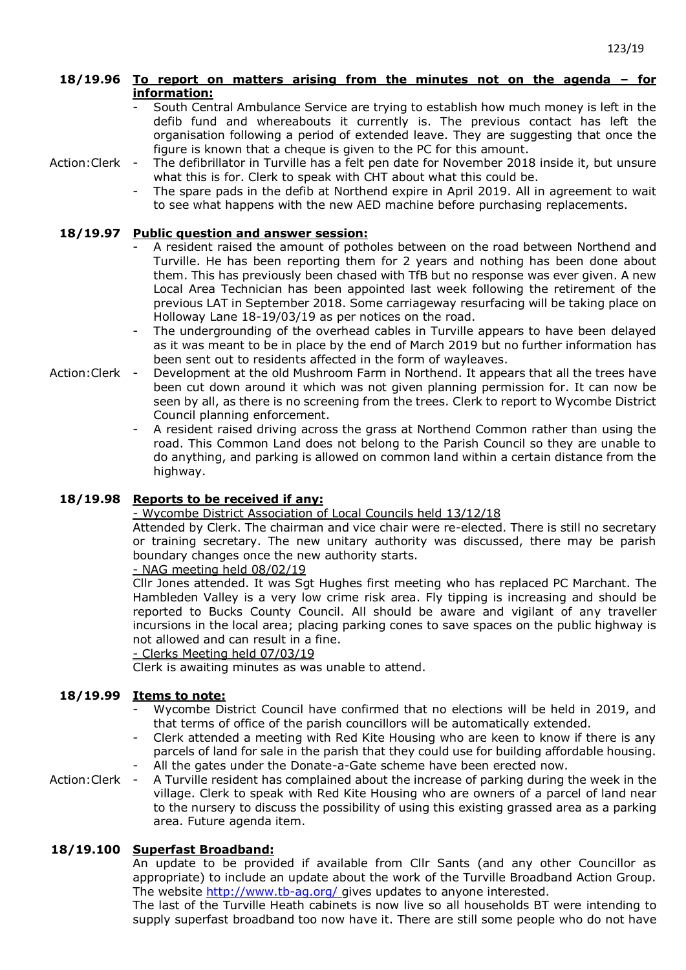## **18/19.96 To report on matters arising from the minutes not on the agenda – for information:**

- South Central Ambulance Service are trying to establish how much money is left in the defib fund and whereabouts it currently is. The previous contact has left the organisation following a period of extended leave. They are suggesting that once the figure is known that a cheque is given to the PC for this amount.
- Action:Clerk The defibrillator in Turville has a felt pen date for November 2018 inside it, but unsure what this is for. Clerk to speak with CHT about what this could be.
	- The spare pads in the defib at Northend expire in April 2019. All in agreement to wait to see what happens with the new AED machine before purchasing replacements.

# **18/19.97 Public question and answer session:**

- A resident raised the amount of potholes between on the road between Northend and Turville. He has been reporting them for 2 years and nothing has been done about them. This has previously been chased with TfB but no response was ever given. A new Local Area Technician has been appointed last week following the retirement of the previous LAT in September 2018. Some carriageway resurfacing will be taking place on Holloway Lane 18-19/03/19 as per notices on the road.
- The undergrounding of the overhead cables in Turville appears to have been delayed as it was meant to be in place by the end of March 2019 but no further information has been sent out to residents affected in the form of wayleaves.
- Action:Clerk Development at the old Mushroom Farm in Northend. It appears that all the trees have been cut down around it which was not given planning permission for. It can now be seen by all, as there is no screening from the trees. Clerk to report to Wycombe District Council planning enforcement.
	- A resident raised driving across the grass at Northend Common rather than using the road. This Common Land does not belong to the Parish Council so they are unable to do anything, and parking is allowed on common land within a certain distance from the highway.

# **18/19.98 Reports to be received if any:**

## - Wycombe District Association of Local Councils held 13/12/18

- Attended by Clerk. The chairman and vice chair were re-elected. There is still no secretary or training secretary. The new unitary authority was discussed, there may be parish boundary changes once the new authority starts.

## $-$  NAG meeting held  $08/02/19$

Cllr Jones attended. It was Sqt Hughes first meeting who has replaced PC Marchant. The Hambleden Valley is a very low crime risk area. Fly tipping is increasing and should be reported to Bucks County Council. All should be aware and vigilant of any traveller incursions in the local area; placing parking cones to save spaces on the public highway is not allowed and can result in a fine.

## - Clerks Meeting held 07/03/19

Clerk is awaiting minutes as was unable to attend.

#### **18/19.99 Items to note:**

- Wycombe District Council have confirmed that no elections will be held in 2019, and that terms of office of the parish councillors will be automatically extended.
- Clerk attended a meeting with Red Kite Housing who are keen to know if there is any parcels of land for sale in the parish that they could use for building affordable housing. All the gates under the Donate-a-Gate scheme have been erected now.
- Action:Clerk - A Turville resident has complained about the increase of parking during the week in the village. Clerk to speak with Red Kite Housing who are owners of a parcel of land near to the nursery to discuss the possibility of using this existing grassed area as a parking area. Future agenda item.

# **18/19.100 Superfast Broadband:**

An update to be provided if available from Cllr Sants (and any other Councillor as appropriate) to include an update about the work of the Turville Broadband Action Group. The website<http://www.tb-ag.org/> gives updates to anyone interested.

The last of the Turville Heath cabinets is now live so all households BT were intending to supply superfast broadband too now have it. There are still some people who do not have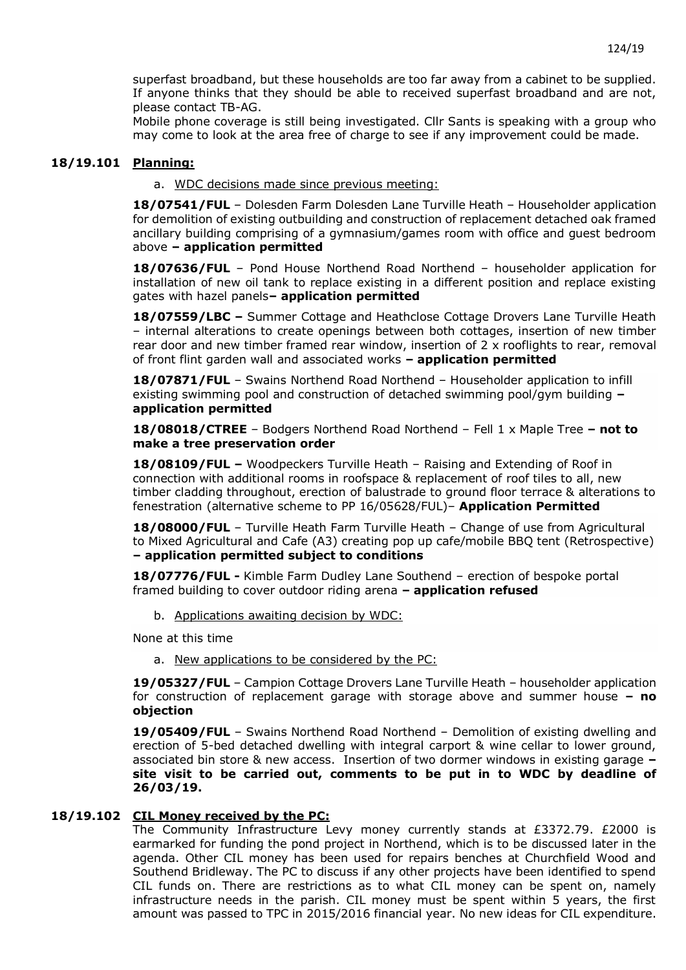superfast broadband, but these households are too far away from a cabinet to be supplied. If anyone thinks that they should be able to received superfast broadband and are not, please contact TB-AG.

Mobile phone coverage is still being investigated. Cllr Sants is speaking with a group who may come to look at the area free of charge to see if any improvement could be made.

### **18/19.101 Planning:**

a. WDC decisions made since previous meeting:

**18/07541/FUL** – Dolesden Farm Dolesden Lane Turville Heath – Householder application for demolition of existing outbuilding and construction of replacement detached oak framed ancillary building comprising of a gymnasium/games room with office and guest bedroom above **– application permitted**

**18/07636/FUL** – Pond House Northend Road Northend – householder application for installation of new oil tank to replace existing in a different position and replace existing gates with hazel panels**– application permitted**

**18/07559/LBC –** Summer Cottage and Heathclose Cottage Drovers Lane Turville Heath – internal alterations to create openings between both cottages, insertion of new timber rear door and new timber framed rear window, insertion of 2 x rooflights to rear, removal of front flint garden wall and associated works **– application permitted**

**18/07871/FUL** – Swains Northend Road Northend – [Householder application to infill](https://publicaccess.wycombe.gov.uk/idoxpa-web/applicationDetails.do?activeTab=summary&keyVal=PHLU4VSCHYO00&prevPage=inTray)  [existing swimming pool and construction of detached swimming pool/gym building](https://publicaccess.wycombe.gov.uk/idoxpa-web/applicationDetails.do?activeTab=summary&keyVal=PHLU4VSCHYO00&prevPage=inTray) **– application permitted**

**18/08018/CTREE** – Bodgers Northend Road Northend – [Fell 1 x Maple Tree](https://publicaccess.wycombe.gov.uk/idoxpa-web/applicationDetails.do?activeTab=summary&keyVal=PIFGSISCID400&prevPage=inTray) **– not to make a tree preservation order**

**18/08109/FUL –** Woodpeckers Turville Heath – Raising and Extending of Roof in connection with additional rooms in roofspace & replacement of roof tiles to all, new timber cladding throughout, erection of balustrade to ground floor terrace & alterations to fenestration (alternative scheme to PP 16/05628/FUL)– **Application Permitted**

**18/08000/FUL** – Turville Heath Farm Turville Heath – [Change of use from Agricultural](https://publicaccess.wycombe.gov.uk/idoxpa-web/applicationDetails.do?activeTab=summary&keyVal=PIA5XNSC0D700&prevPage=inTray)  [to Mixed Agricultural and Cafe \(A3\) creating pop up cafe/mobile BBQ tent \(Retrospective\)](https://publicaccess.wycombe.gov.uk/idoxpa-web/applicationDetails.do?activeTab=summary&keyVal=PIA5XNSC0D700&prevPage=inTray)  **– application permitted subject to conditions**

**18/07776/FUL -** Kimble Farm Dudley Lane Southend – erection of bespoke portal framed building to cover outdoor riding arena **– application refused**

b. Applications awaiting decision by WDC:

None at this time

a. New applications to be considered by the PC:

**19/05327/FUL** – Campion Cottage Drovers Lane Turville Heath – householder application for construction of replacement garage with storage above and summer house **– no objection**

**19/05409/FUL** – Swains Northend Road Northend – Demolition of existing dwelling and erection of 5-bed detached dwelling with integral carport & wine cellar to lower ground, associated bin store & new access. Insertion of two dormer windows in existing garage **– site visit to be carried out, comments to be put in to WDC by deadline of 26/03/19.**

### **18/19.102 CIL Money received by the PC:**

The Community Infrastructure Levy money currently stands at £3372.79. £2000 is earmarked for funding the pond project in Northend, which is to be discussed later in the agenda. Other CIL money has been used for repairs benches at Churchfield Wood and Southend Bridleway. The PC to discuss if any other projects have been identified to spend CIL funds on. There are restrictions as to what CIL money can be spent on, namely infrastructure needs in the parish. CIL money must be spent within 5 years, the first amount was passed to TPC in 2015/2016 financial year. No new ideas for CIL expenditure.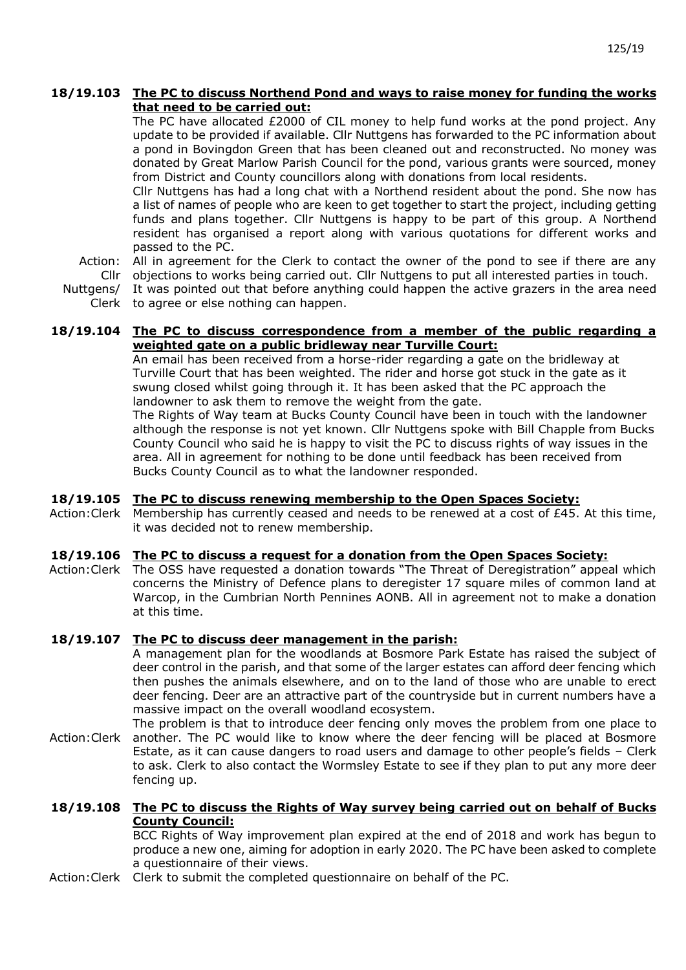## **18/19.103 The PC to discuss Northend Pond and ways to raise money for funding the works that need to be carried out:**

The PC have allocated £2000 of CIL money to help fund works at the pond project. Any update to be provided if available. Cllr Nuttgens has forwarded to the PC information about a pond in Bovingdon Green that has been cleaned out and reconstructed. No money was donated by Great Marlow Parish Council for the pond, various grants were sourced, money from District and County councillors along with donations from local residents.

Cllr Nuttgens has had a long chat with a Northend resident about the pond. She now has a list of names of people who are keen to get together to start the project, including getting funds and plans together. Cllr Nuttgens is happy to be part of this group. A Northend resident has organised a report along with various quotations for different works and passed to the PC.

Action: Cllr objections to works being carried out. Cllr Nuttgens to put all interested parties in touch. All in agreement for the Clerk to contact the owner of the pond to see if there are any

Nuttgens/ It was pointed out that before anything could happen the active grazers in the area need

Clerk to agree or else nothing can happen.

## **18/19.104 The PC to discuss correspondence from a member of the public regarding a weighted gate on a public bridleway near Turville Court:**

An email has been received from a horse-rider regarding a gate on the bridleway at Turville Court that has been weighted. The rider and horse got stuck in the gate as it swung closed whilst going through it. It has been asked that the PC approach the landowner to ask them to remove the weight from the gate.

The Rights of Way team at Bucks County Council have been in touch with the landowner although the response is not yet known. Cllr Nuttgens spoke with Bill Chapple from Bucks County Council who said he is happy to visit the PC to discuss rights of way issues in the area. All in agreement for nothing to be done until feedback has been received from Bucks County Council as to what the landowner responded.

#### **18/19.105 The PC to discuss renewing membership to the Open Spaces Society:**

Action:Clerk Membership has currently ceased and needs to be renewed at a cost of £45. At this time, it was decided not to renew membership.

#### **18/19.106 The PC to discuss a request for a donation from the Open Spaces Society:**

Action:Clerk The OSS have requested a donation towards "The Threat of Deregistration" appeal which concerns the Ministry of Defence plans to deregister 17 square miles of common land at Warcop, in the Cumbrian North Pennines AONB. All in agreement not to make a donation at this time.

#### **18/19.107 The PC to discuss deer management in the parish:**

A management plan for the woodlands at Bosmore Park Estate has raised the subject of deer control in the parish, and that some of the larger estates can afford deer fencing which then pushes the animals elsewhere, and on to the land of those who are unable to erect deer fencing. Deer are an attractive part of the countryside but in current numbers have a massive impact on the overall woodland ecosystem.

Action:Clerk another. The PC would like to know where the deer fencing will be placed at Bosmore The problem is that to introduce deer fencing only moves the problem from one place to Estate, as it can cause dangers to road users and damage to other people's fields – Clerk to ask. Clerk to also contact the Wormsley Estate to see if they plan to put any more deer fencing up.

### **18/19.108 The PC to discuss the Rights of Way survey being carried out on behalf of Bucks County Council:**

BCC Rights of Way improvement plan expired at the end of 2018 and work has begun to produce a new one, aiming for adoption in early 2020. The PC have been asked to complete a questionnaire of their views.

Action: Clerk Clerk to submit the completed questionnaire on behalf of the PC.